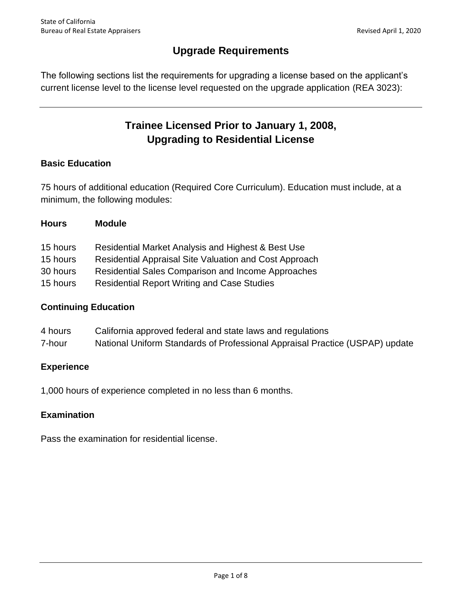# **Upgrade Requirements**

 The following sections list the requirements for upgrading a license based on the applicant's current license level to the license level requested on the upgrade application (REA 3023):

# **Trainee Licensed Prior to January 1, 2008, Upgrading to Residential License**

# **Basic Education**

 75 hours of additional education (Required Core Curriculum). Education must include, at a minimum, the following modules:

| <b>Hours</b> | <b>Module</b>                                                 |
|--------------|---------------------------------------------------------------|
| 15 hours     | Residential Market Analysis and Highest & Best Use            |
| 15 hours     | <b>Residential Appraisal Site Valuation and Cost Approach</b> |
| 30 hours     | <b>Residential Sales Comparison and Income Approaches</b>     |
| 15 hours     | <b>Residential Report Writing and Case Studies</b>            |
|              |                                                               |

# **Continuing Education**

- 4 hours California approved federal and state laws and regulations
- 7-hour National Uniform Standards of Professional Appraisal Practice (USPAP) update

### **Experience**

1,000 hours of experience completed in no less than 6 months.

# **Examination**

Pass the examination for residential license.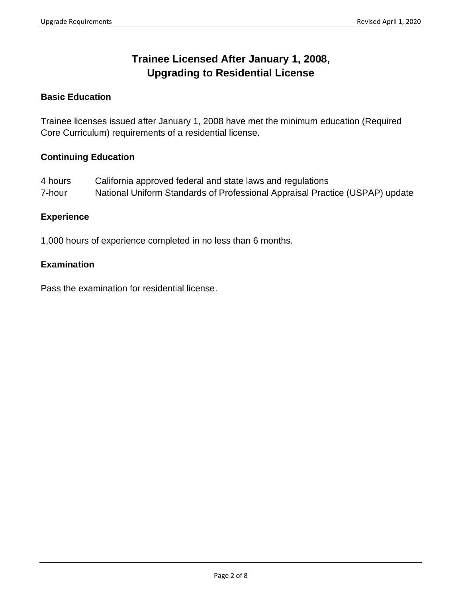# **Trainee Licensed After January 1, 2008, Upgrading to Residential License**

## **Basic Education**

 Trainee licenses issued after January 1, 2008 have met the minimum education (Required Core Curriculum) requirements of a residential license.

### **Continuing Education**

 4 hours California approved federal and state laws and regulations 7-hour National Uniform Standards of Professional Appraisal Practice (USPAP) update

#### **Experience**

1,000 hours of experience completed in no less than 6 months.

### **Examination**

Pass the examination for residential license.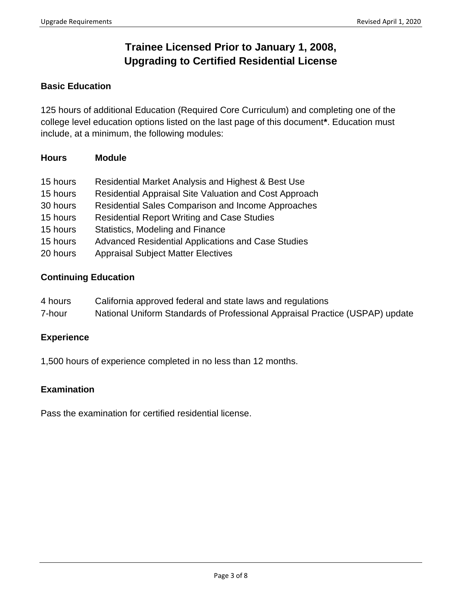# **Trainee Licensed Prior to January 1, 2008, Upgrading to Certified Residential License**

## **Basic Education**

 125 hours of additional Education (Required Core Curriculum) and completing one of the college level education options listed on the last page of this document**\***. Education must include, at a minimum, the following modules:

| <b>Module</b> |
|---------------|
|               |

| 15 hours | Residential Market Analysis and Highest & Best Use        |
|----------|-----------------------------------------------------------|
| 15 hours | Residential Appraisal Site Valuation and Cost Approach    |
| 30 hours | <b>Residential Sales Comparison and Income Approaches</b> |
| 15 hours | <b>Residential Report Writing and Case Studies</b>        |
| 15 hours | Statistics, Modeling and Finance                          |
| 15 hours | <b>Advanced Residential Applications and Case Studies</b> |
| 20 hours | <b>Appraisal Subject Matter Electives</b>                 |

## **Continuing Education**

- 4 hours California approved federal and state laws and regulations
- 7-hour National Uniform Standards of Professional Appraisal Practice (USPAP) update

### **Experience**

1,500 hours of experience completed in no less than 12 months.

### **Examination**

Pass the examination for certified residential license.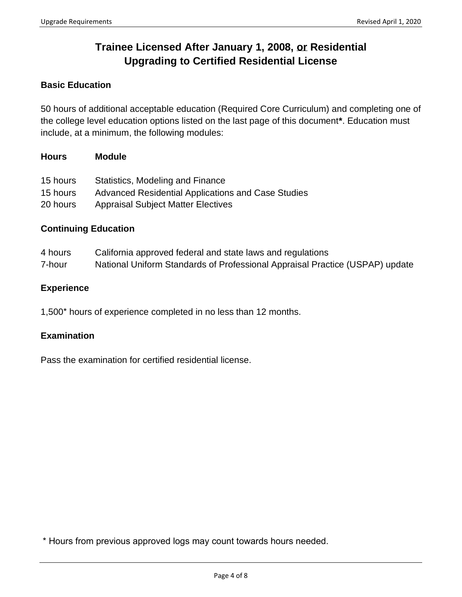# **Trainee Licensed After January 1, 2008, or Residential Upgrading to Certified Residential License**

# **Basic Education**

 50 hours of additional acceptable education (Required Core Curriculum) and completing one of the college level education options listed on the last page of this document**\***. Education must include, at a minimum, the following modules:

#### **Hours Module**

| 15 hours | Statistics, Modeling and Finance                   |
|----------|----------------------------------------------------|
| 15 hours | Advanced Residential Applications and Case Studies |
| 20 hours | <b>Appraisal Subject Matter Electives</b>          |

#### **Continuing Education**

| 4 hours | California approved federal and state laws and regulations                   |
|---------|------------------------------------------------------------------------------|
| 7-hour  | National Uniform Standards of Professional Appraisal Practice (USPAP) update |

#### **Experience**

1,500\* hours of experience completed in no less than 12 months.

### **Examination**

Pass the examination for certified residential license.

\* Hours from previous approved logs may count towards hours needed.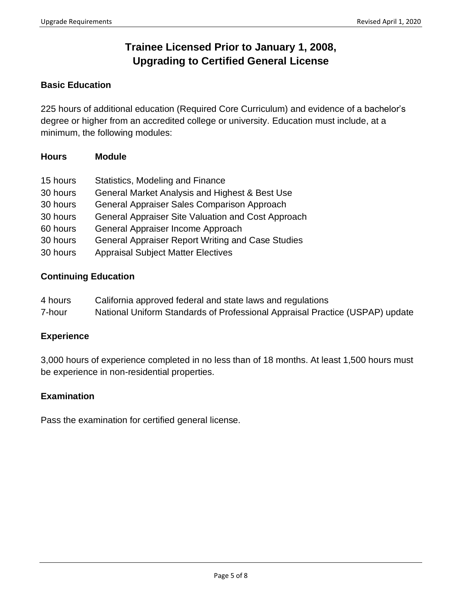# **Trainee Licensed Prior to January 1, 2008, Upgrading to Certified General License**

## **Basic Education**

 225 hours of additional education (Required Core Curriculum) and evidence of a bachelor's degree or higher from an accredited college or university. Education must include, at a minimum, the following modules:

## **Hours Module**

| 15 hours | <b>Statistics, Modeling and Finance</b>                  |
|----------|----------------------------------------------------------|
| 30 hours | General Market Analysis and Highest & Best Use           |
| 30 hours | General Appraiser Sales Comparison Approach              |
| 30 hours | General Appraiser Site Valuation and Cost Approach       |
| 60 hours | General Appraiser Income Approach                        |
| 30 hours | <b>General Appraiser Report Writing and Case Studies</b> |
| 30 hours | <b>Appraisal Subject Matter Electives</b>                |

### **Continuing Education**

- 4 hours California approved federal and state laws and regulations
- 7-hour National Uniform Standards of Professional Appraisal Practice (USPAP) update

### **Experience**

 3,000 hours of experience completed in no less than of 18 months. At least 1,500 hours must be experience in non-residential properties.

### **Examination**

Pass the examination for certified general license.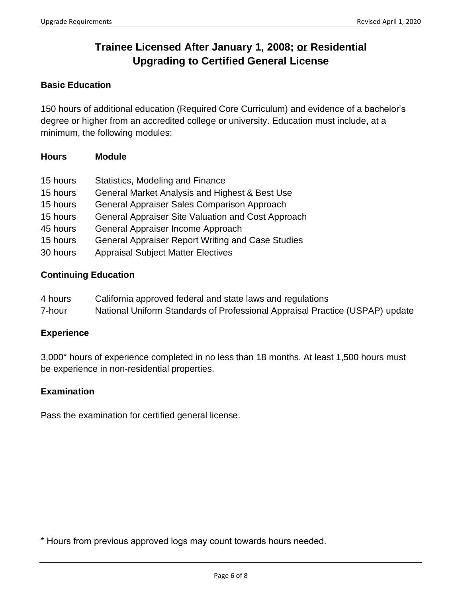# **Trainee Licensed After January 1, 2008; or Residential Upgrading to Certified General License**

## **Basic Education**

 150 hours of additional education (Required Core Curriculum) and evidence of a bachelor's degree or higher from an accredited college or university. Education must include, at a minimum, the following modules:

## **Hours Module**

| 15 hours | Statistics, Modeling and Finance                         |
|----------|----------------------------------------------------------|
| 15 hours | General Market Analysis and Highest & Best Use           |
| 15 hours | General Appraiser Sales Comparison Approach              |
| 15 hours | General Appraiser Site Valuation and Cost Approach       |
| 45 hours | General Appraiser Income Approach                        |
| 15 hours | <b>General Appraiser Report Writing and Case Studies</b> |
| 30 hours | <b>Appraisal Subject Matter Electives</b>                |

### **Continuing Education**

- 4 hours California approved federal and state laws and regulations
- 7-hour National Uniform Standards of Professional Appraisal Practice (USPAP) update

### **Experience**

3,000\* hours of experience completed in no less than 18 months. At least 1,500 hours must be experience in non-residential properties.

### **Examination**

Pass the examination for certified general license.

\* Hours from previous approved logs may count towards hours needed.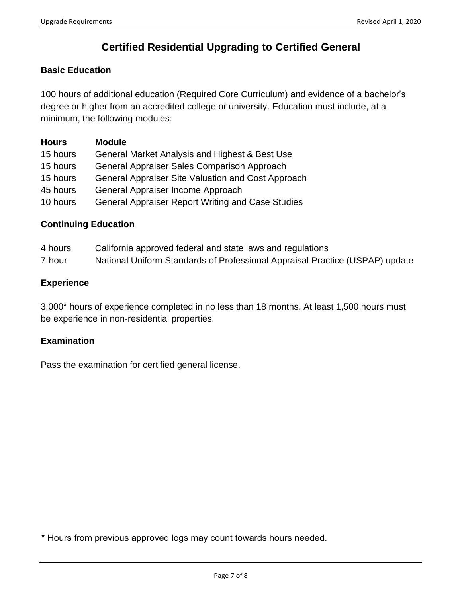# **Certified Residential Upgrading to Certified General**

### **Basic Education**

 100 hours of additional education (Required Core Curriculum) and evidence of a bachelor's degree or higher from an accredited college or university. Education must include, at a minimum, the following modules:

| <b>Hours</b> | <b>Module</b>                                            |
|--------------|----------------------------------------------------------|
| 15 hours     | General Market Analysis and Highest & Best Use           |
| 15 hours     | General Appraiser Sales Comparison Approach              |
| 15 hours     | General Appraiser Site Valuation and Cost Approach       |
| 45 hours     | General Appraiser Income Approach                        |
| 10 hours     | <b>General Appraiser Report Writing and Case Studies</b> |

#### **Continuing Education**

- 4 hours California approved federal and state laws and regulations
- 7-hour National Uniform Standards of Professional Appraisal Practice (USPAP) update

#### **Experience**

3,000\* hours of experience completed in no less than 18 months. At least 1,500 hours must be experience in non-residential properties.

#### **Examination**

Pass the examination for certified general license.

\* Hours from previous approved logs may count towards hours needed.